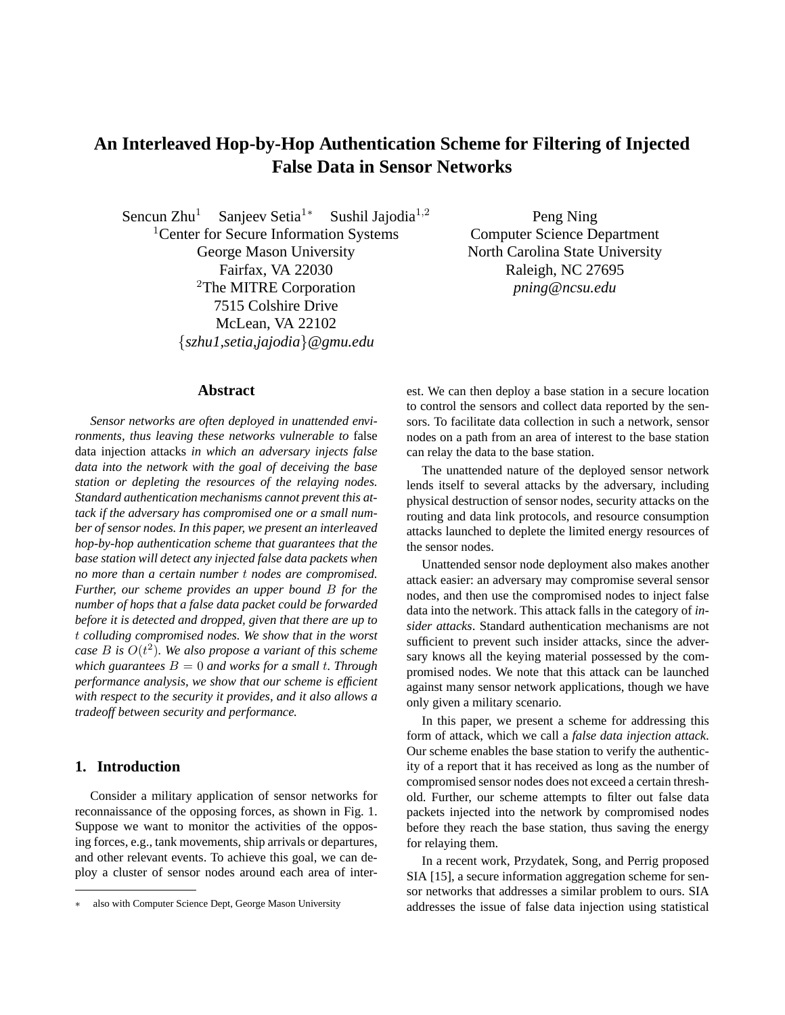# **An Interleaved Hop-by-Hop Authentication Scheme for Filtering of Injected False Data in Sensor Networks**

Sencun Zhu<sup>1</sup> Sanjeev Setia<sup>1</sup>\* Sushil Jajodia<sup>1,2</sup> <sup>1</sup>Center for Secure Information Systems George Mason University Fairfax, VA 22030 <sup>2</sup>The MITRE Corporation 7515 Colshire Drive McLean, VA 22102 {*szhu1,setia,jajodia*}*@gmu.edu*

Peng Ning Computer Science Department North Carolina State University Raleigh, NC 27695 *pning@ncsu.edu*

# **Abstract**

*Sensor networks are often deployed in unattended environments, thus leaving these networks vulnerable to* false data injection attacks *in which an adversary injects false data into the network with the goal of deceiving the base station or depleting the resources of the relaying nodes. Standard authentication mechanisms cannot prevent this attack if the adversary has compromised one or a small number of sensor nodes. In this paper, we present an interleaved hop-by-hop authentication scheme that guarantees that the base station will detect any injected false data packets when no more than a certain number* t *nodes are compromised. Further, our scheme provides an upper bound* B *for the number of hops that a false data packet could be forwarded before it is detected and dropped, given that there are up to* t *colluding compromised nodes. We show that in the worst case* B *is* O(t 2 )*. We also propose a variant of this scheme which guarantees*  $B = 0$  *and works for a small t. Through performance analysis, we show that our scheme is efficient with respect to the security it provides, and it also allows a tradeoff between security and performance.*

#### **1. Introduction**

Consider a military application of sensor networks for reconnaissance of the opposing forces, as shown in Fig. 1. Suppose we want to monitor the activities of the opposing forces, e.g., tank movements, ship arrivals or departures, and other relevant events. To achieve this goal, we can deploy a cluster of sensor nodes around each area of interest. We can then deploy a base station in a secure location to control the sensors and collect data reported by the sensors. To facilitate data collection in such a network, sensor nodes on a path from an area of interest to the base station can relay the data to the base station.

The unattended nature of the deployed sensor network lends itself to several attacks by the adversary, including physical destruction of sensor nodes, security attacks on the routing and data link protocols, and resource consumption attacks launched to deplete the limited energy resources of the sensor nodes.

Unattended sensor node deployment also makes another attack easier: an adversary may compromise several sensor nodes, and then use the compromised nodes to inject false data into the network. This attack falls in the category of *insider attacks*. Standard authentication mechanisms are not sufficient to prevent such insider attacks, since the adversary knows all the keying material possessed by the compromised nodes. We note that this attack can be launched against many sensor network applications, though we have only given a military scenario.

In this paper, we present a scheme for addressing this form of attack, which we call a *false data injection attack*. Our scheme enables the base station to verify the authenticity of a report that it has received as long as the number of compromised sensor nodes does not exceed a certain threshold. Further, our scheme attempts to filter out false data packets injected into the network by compromised nodes before they reach the base station, thus saving the energy for relaying them.

In a recent work, Przydatek, Song, and Perrig proposed SIA [15], a secure information aggregation scheme for sensor networks that addresses a similar problem to ours. SIA addresses the issue of false data injection using statistical

also with Computer Science Dept, George Mason University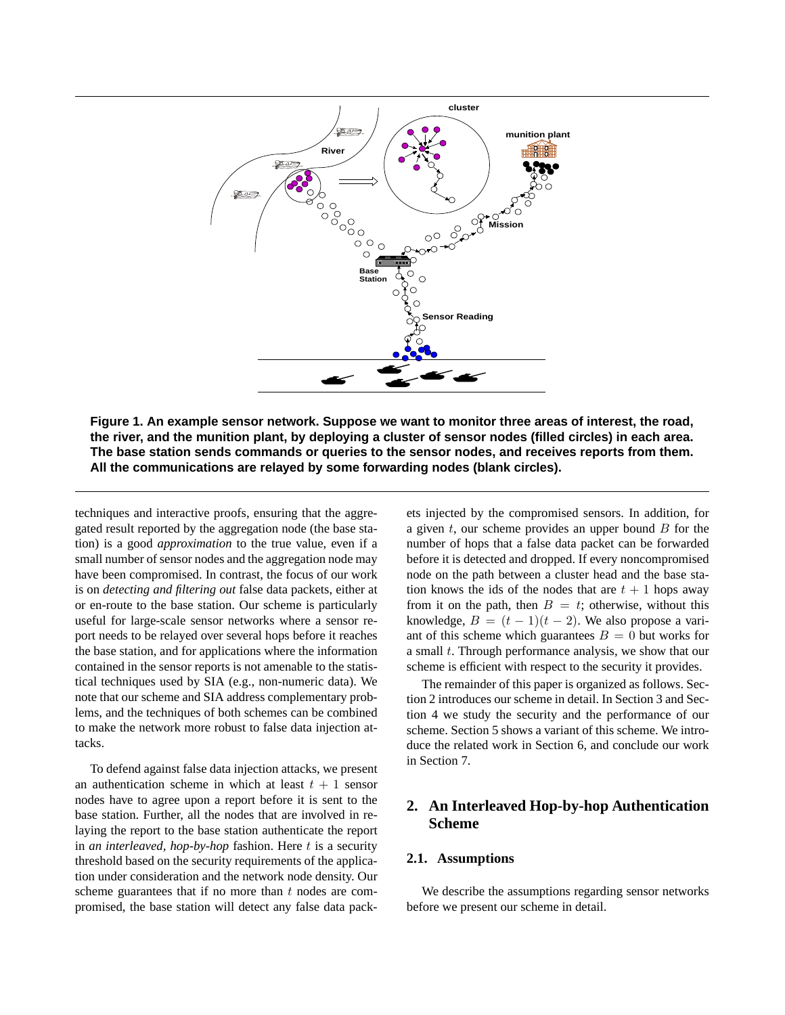

**Figure 1. An example sensor network. Suppose we want to monitor three areas of interest, the road,** the river, and the munition plant, by deploying a cluster of sensor nodes (filled circles) in each area. **The base station sends commands or queries to the sensor nodes, and receives reports from them. All the communications are relayed by some forwarding nodes (blank circles).**

techniques and interactive proofs, ensuring that the aggregated result reported by the aggregation node (the base station) is a good *approximation* to the true value, even if a small number of sensor nodes and the aggregation node may have been compromised. In contrast, the focus of our work is on *detecting and filtering out* false data packets, either at or en-route to the base station. Our scheme is particularly useful for large-scale sensor networks where a sensor report needs to be relayed over several hops before it reaches the base station, and for applications where the information contained in the sensor reports is not amenable to the statistical techniques used by SIA (e.g., non-numeric data). We note that our scheme and SIA address complementary problems, and the techniques of both schemes can be combined to make the network more robust to false data injection attacks.

To defend against false data injection attacks, we present an authentication scheme in which at least  $t + 1$  sensor nodes have to agree upon a report before it is sent to the base station. Further, all the nodes that are involved in relaying the report to the base station authenticate the report in *an interleaved, hop-by-hop* fashion. Here t is a security threshold based on the security requirements of the application under consideration and the network node density. Our scheme guarantees that if no more than  $t$  nodes are compromised, the base station will detect any false data packets injected by the compromised sensors. In addition, for a given  $t$ , our scheme provides an upper bound  $B$  for the number of hops that a false data packet can be forwarded before it is detected and dropped. If every noncompromised node on the path between a cluster head and the base station knows the ids of the nodes that are  $t + 1$  hops away from it on the path, then  $B = t$ ; otherwise, without this knowledge,  $B = (t - 1)(t - 2)$ . We also propose a variant of this scheme which guarantees  $B = 0$  but works for a small t. Through performance analysis, we show that our scheme is efficient with respect to the security it provides.

The remainder of this paper is organized as follows. Section 2 introduces our scheme in detail. In Section 3 and Section 4 we study the security and the performance of our scheme. Section 5 shows a variant of this scheme. We introduce the related work in Section 6, and conclude our work in Section 7.

# **2. An Interleaved Hop-by-hop Authentication Scheme**

## **2.1. Assumptions**

We describe the assumptions regarding sensor networks before we present our scheme in detail.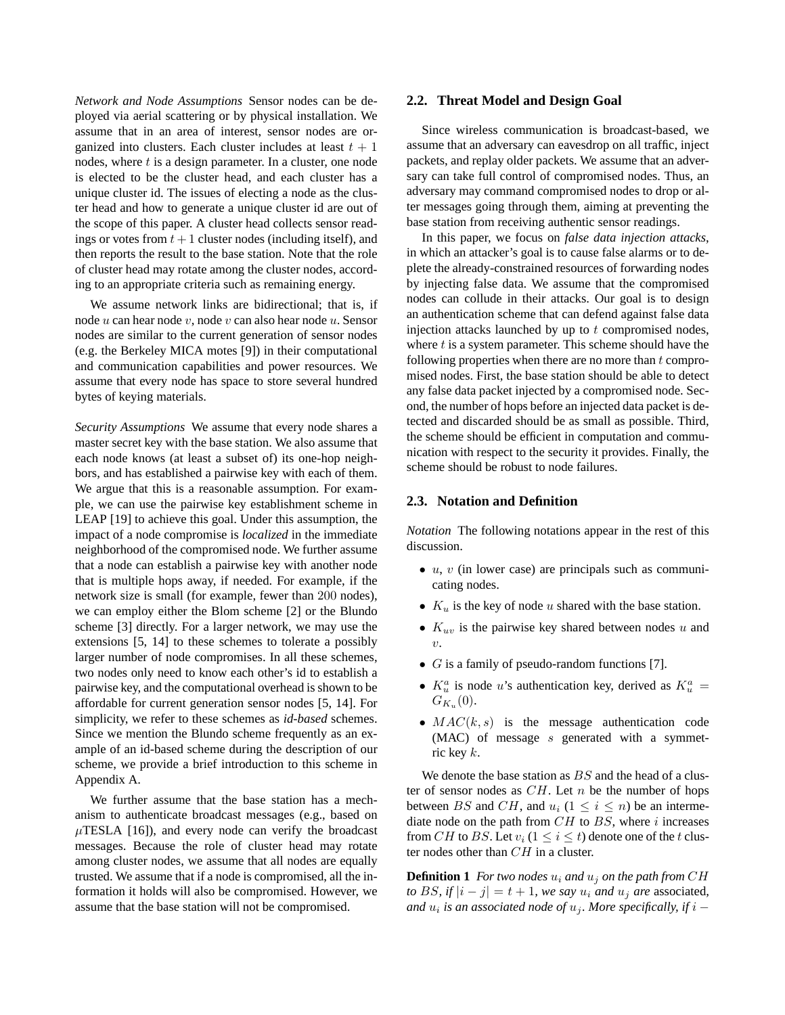*Network and Node Assumptions* Sensor nodes can be deployed via aerial scattering or by physical installation. We assume that in an area of interest, sensor nodes are organized into clusters. Each cluster includes at least  $t + 1$ nodes, where  $t$  is a design parameter. In a cluster, one node is elected to be the cluster head, and each cluster has a unique cluster id. The issues of electing a node as the cluster head and how to generate a unique cluster id are out of the scope of this paper. A cluster head collects sensor readings or votes from  $t + 1$  cluster nodes (including itself), and then reports the result to the base station. Note that the role of cluster head may rotate among the cluster nodes, according to an appropriate criteria such as remaining energy.

We assume network links are bidirectional; that is, if node u can hear node v, node v can also hear node u. Sensor nodes are similar to the current generation of sensor nodes (e.g. the Berkeley MICA motes [9]) in their computational and communication capabilities and power resources. We assume that every node has space to store several hundred bytes of keying materials.

*Security Assumptions* We assume that every node shares a master secret key with the base station. We also assume that each node knows (at least a subset of) its one-hop neighbors, and has established a pairwise key with each of them. We argue that this is a reasonable assumption. For example, we can use the pairwise key establishment scheme in LEAP [19] to achieve this goal. Under this assumption, the impact of a node compromise is *localized* in the immediate neighborhood of the compromised node. We further assume that a node can establish a pairwise key with another node that is multiple hops away, if needed. For example, if the network size is small (for example, fewer than 200 nodes), we can employ either the Blom scheme [2] or the Blundo scheme [3] directly. For a larger network, we may use the extensions [5, 14] to these schemes to tolerate a possibly larger number of node compromises. In all these schemes, two nodes only need to know each other's id to establish a pairwise key, and the computational overhead isshown to be affordable for current generation sensor nodes [5, 14]. For simplicity, we refer to these schemes as *id-based* schemes. Since we mention the Blundo scheme frequently as an example of an id-based scheme during the description of our scheme, we provide a brief introduction to this scheme in Appendix A.

We further assume that the base station has a mechanism to authenticate broadcast messages (e.g., based on  $\mu$ TESLA [16]), and every node can verify the broadcast messages. Because the role of cluster head may rotate among cluster nodes, we assume that all nodes are equally trusted. We assume that if a node is compromised, all the information it holds will also be compromised. However, we assume that the base station will not be compromised.

#### **2.2. Threat Model and Design Goal**

Since wireless communication is broadcast-based, we assume that an adversary can eavesdrop on all traffic, inject packets, and replay older packets. We assume that an adversary can take full control of compromised nodes. Thus, an adversary may command compromised nodes to drop or alter messages going through them, aiming at preventing the base station from receiving authentic sensor readings.

In this paper, we focus on *false data injection attacks*, in which an attacker's goal is to cause false alarms or to deplete the already-constrained resources of forwarding nodes by injecting false data. We assume that the compromised nodes can collude in their attacks. Our goal is to design an authentication scheme that can defend against false data injection attacks launched by up to  $t$  compromised nodes, where  $t$  is a system parameter. This scheme should have the following properties when there are no more than  $t$  compromised nodes. First, the base station should be able to detect any false data packet injected by a compromised node. Second, the number of hops before an injected data packet is detected and discarded should be as small as possible. Third, the scheme should be efficient in computation and communication with respect to the security it provides. Finally, the scheme should be robust to node failures.

#### **2.3. Notation and Definition**

*Notation* The following notations appear in the rest of this discussion.

- $\bullet$  u, v (in lower case) are principals such as communicating nodes.
- $K_u$  is the key of node u shared with the base station.
- $K_{uv}$  is the pairwise key shared between nodes u and  $\upsilon$ .
- $G$  is a family of pseudo-random functions [7].
- $K_u^a$  is node u's authentication key, derived as  $K_u^a$  =  $G_{K_u}(0)$ .
- $MAC(k, s)$  is the message authentication code  $(MAC)$  of message s generated with a symmetric key  $k$ .

We denote the base station as  $BS$  and the head of a cluster of sensor nodes as  $CH$ . Let n be the number of hops between BS and CH, and  $u_i$  ( $1 \le i \le n$ ) be an intermediate node on the path from  $CH$  to  $BS$ , where i increases from CH to BS. Let  $v_i$  ( $1 \le i \le t$ ) denote one of the t cluster nodes other than CH in a cluster.

**Definition 1** *For two nodes*  $u_i$  *and*  $u_j$  *on the path from*  $CH$ *to* BS, if  $|i - j| = t + 1$ , we say  $u_i$  and  $u_j$  are associated,  $i$  *and*  $u_i$  is an associated node of  $u_j$ . More specifically, if  $i -$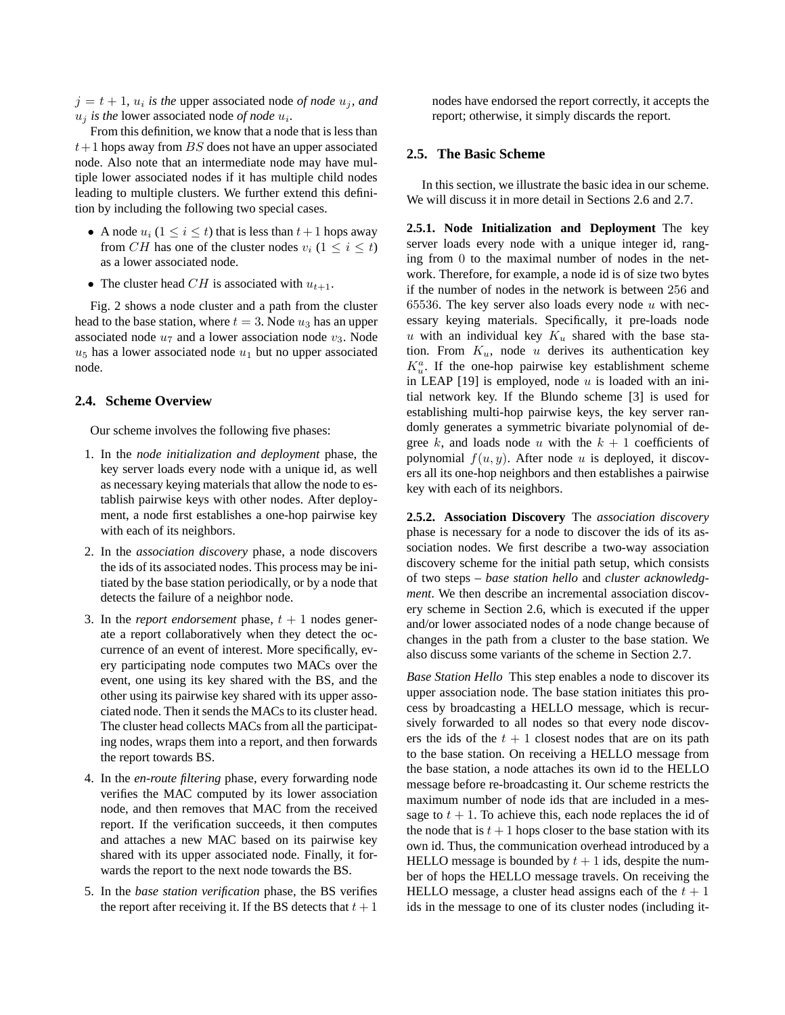$j = t + 1$ ,  $u_i$  *is the* upper associated node *of node*  $u_j$ *, and*  $u_j$  *is the* lower associated node *of node*  $u_i$ .

From this definition, we know that a node that is less than  $t+1$  hops away from BS does not have an upper associated node. Also note that an intermediate node may have multiple lower associated nodes if it has multiple child nodes leading to multiple clusters. We further extend this definition by including the following two special cases.

- A node  $u_i$  ( $1 \le i \le t$ ) that is less than  $t+1$  hops away from CH has one of the cluster nodes  $v_i$   $(1 \le i \le t)$ as a lower associated node.
- The cluster head CH is associated with  $u_{t+1}$ .

Fig. 2 shows a node cluster and a path from the cluster head to the base station, where  $t = 3$ . Node  $u_3$  has an upper associated node  $u_7$  and a lower association node  $v_3$ . Node  $u_5$  has a lower associated node  $u_1$  but no upper associated node.

# **2.4. Scheme Overview**

Our scheme involves the following five phases:

- 1. In the *node initialization and deployment* phase, the key server loads every node with a unique id, as well as necessary keying materials that allow the node to establish pairwise keys with other nodes. After deployment, a node first establishes a one-hop pairwise key with each of its neighbors.
- 2. In the *association discovery* phase, a node discovers the ids of its associated nodes. This process may be initiated by the base station periodically, or by a node that detects the failure of a neighbor node.
- 3. In the *report endorsement* phase,  $t + 1$  nodes generate a report collaboratively when they detect the occurrence of an event of interest. More specifically, every participating node computes two MACs over the event, one using its key shared with the BS, and the other using its pairwise key shared with its upper associated node. Then it sends the MACs to its cluster head. The cluster head collects MACs from all the participating nodes, wraps them into a report, and then forwards the report towards BS.
- 4. In the *en-route filtering* phase, every forwarding node verifies the MAC computed by its lower association node, and then removes that MAC from the received report. If the verification succeeds, it then computes and attaches a new MAC based on its pairwise key shared with its upper associated node. Finally, it forwards the report to the next node towards the BS.
- 5. In the *base station verification* phase, the BS verifies the report after receiving it. If the BS detects that  $t + 1$

nodes have endorsed the report correctly, it accepts the report; otherwise, it simply discards the report.

#### **2.5. The Basic Scheme**

In this section, we illustrate the basic idea in our scheme. We will discuss it in more detail in Sections 2.6 and 2.7.

**2.5.1. Node Initialization and Deployment** The key server loads every node with a unique integer id, ranging from 0 to the maximal number of nodes in the network. Therefore, for example, a node id is of size two bytes if the number of nodes in the network is between 256 and 65536. The key server also loads every node  $u$  with necessary keying materials. Specifically, it pre-loads node u with an individual key  $K_u$  shared with the base station. From  $K_u$ , node u derives its authentication key  $K_u^a$ . If the one-hop pairwise key establishment scheme in LEAP  $[19]$  is employed, node u is loaded with an initial network key. If the Blundo scheme [3] is used for establishing multi-hop pairwise keys, the key server randomly generates a symmetric bivariate polynomial of degree k, and loads node u with the  $k + 1$  coefficients of polynomial  $f(u, y)$ . After node u is deployed, it discovers all its one-hop neighbors and then establishes a pairwise key with each of its neighbors.

**2.5.2. Association Discovery** The *association discovery* phase is necessary for a node to discover the ids of its association nodes. We first describe a two-way association discovery scheme for the initial path setup, which consists of two steps – *base station hello* and *cluster acknowledgment*. We then describe an incremental association discovery scheme in Section 2.6, which is executed if the upper and/or lower associated nodes of a node change because of changes in the path from a cluster to the base station. We also discuss some variants of the scheme in Section 2.7.

*Base Station Hello* This step enables a node to discover its upper association node. The base station initiates this process by broadcasting a HELLO message, which is recursively forwarded to all nodes so that every node discovers the ids of the  $t + 1$  closest nodes that are on its path to the base station. On receiving a HELLO message from the base station, a node attaches its own id to the HELLO message before re-broadcasting it. Our scheme restricts the maximum number of node ids that are included in a message to  $t + 1$ . To achieve this, each node replaces the id of the node that is  $t + 1$  hops closer to the base station with its own id. Thus, the communication overhead introduced by a HELLO message is bounded by  $t + 1$  ids, despite the number of hops the HELLO message travels. On receiving the HELLO message, a cluster head assigns each of the  $t + 1$ ids in the message to one of its cluster nodes (including it-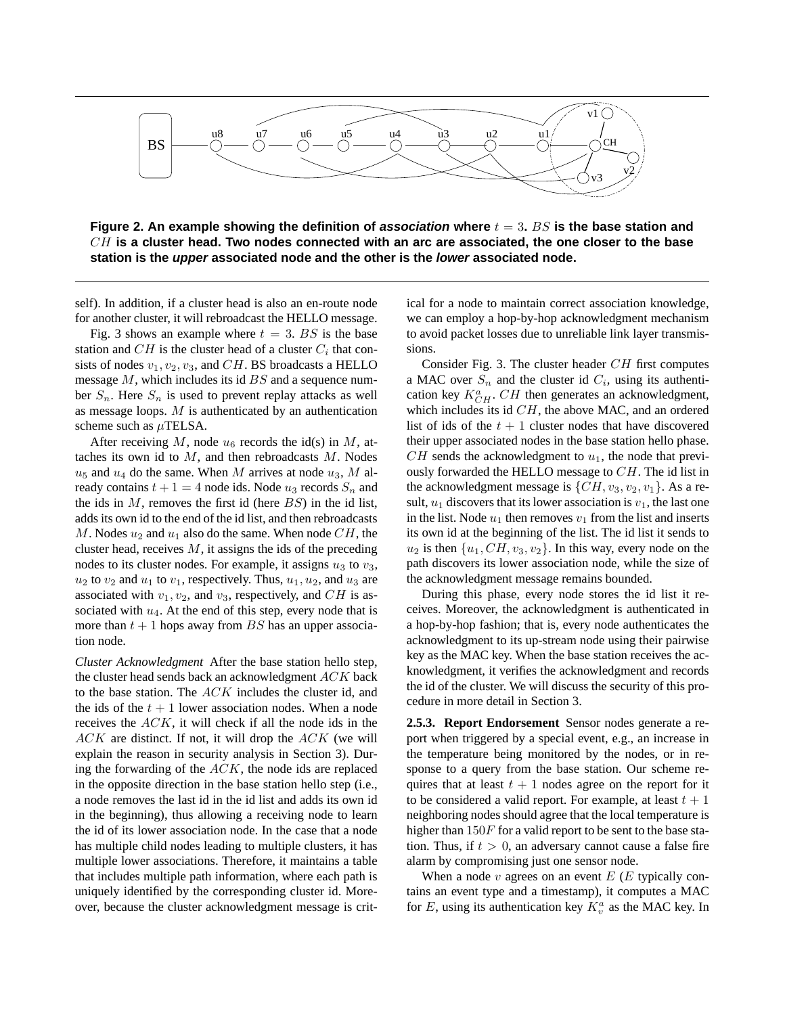

**Figure 2. An example showing the definition of association where** t = 3**.** BS **is the base station and** CH **is a cluster head. Two nodes connected with an arc are associated, the one closer to the base station is the upper associated node and the other is the lower associated node.**

self). In addition, if a cluster head is also an en-route node for another cluster, it will rebroadcast the HELLO message.

Fig. 3 shows an example where  $t = 3$ . BS is the base station and  $CH$  is the cluster head of a cluster  $C_i$  that consists of nodes  $v_1, v_2, v_3$ , and CH. BS broadcasts a HELLO message  $M$ , which includes its id  $BS$  and a sequence number  $S_n$ . Here  $S_n$  is used to prevent replay attacks as well as message loops.  $M$  is authenticated by an authentication scheme such as  $\mu$ TELSA.

After receiving M, node  $u_6$  records the id(s) in M, attaches its own id to  $M$ , and then rebroadcasts  $M$ . Nodes  $u_5$  and  $u_4$  do the same. When M arrives at node  $u_3$ , M already contains  $t + 1 = 4$  node ids. Node  $u_3$  records  $S_n$  and the ids in  $M$ , removes the first id (here  $BS$ ) in the id list, adds its own id to the end of the id list, and then rebroadcasts M. Nodes  $u_2$  and  $u_1$  also do the same. When node  $CH$ , the cluster head, receives  $M$ , it assigns the ids of the preceding nodes to its cluster nodes. For example, it assigns  $u_3$  to  $v_3$ ,  $u_2$  to  $v_2$  and  $u_1$  to  $v_1$ , respectively. Thus,  $u_1, u_2$ , and  $u_3$  are associated with  $v_1, v_2$ , and  $v_3$ , respectively, and CH is associated with  $u_4$ . At the end of this step, every node that is more than  $t + 1$  hops away from BS has an upper association node.

*Cluster Acknowledgment* After the base station hello step, the cluster head sends back an acknowledgment ACK back to the base station. The ACK includes the cluster id, and the ids of the  $t + 1$  lower association nodes. When a node receives the ACK, it will check if all the node ids in the  $ACK$  are distinct. If not, it will drop the  $ACK$  (we will explain the reason in security analysis in Section 3). During the forwarding of the  $ACK$ , the node ids are replaced in the opposite direction in the base station hello step (i.e., a node removes the last id in the id list and adds its own id in the beginning), thus allowing a receiving node to learn the id of its lower association node. In the case that a node has multiple child nodes leading to multiple clusters, it has multiple lower associations. Therefore, it maintains a table that includes multiple path information, where each path is uniquely identified by the corresponding cluster id. Moreover, because the cluster acknowledgment message is critical for a node to maintain correct association knowledge, we can employ a hop-by-hop acknowledgment mechanism to avoid packet losses due to unreliable link layer transmissions.

Consider Fig. 3. The cluster header  $CH$  first computes a MAC over  $S_n$  and the cluster id  $C_i$ , using its authentication key  $K_{CH}^a$ .  $CH$  then generates an acknowledgment, which includes its id  $CH$ , the above MAC, and an ordered list of ids of the  $t + 1$  cluster nodes that have discovered their upper associated nodes in the base station hello phase.  $CH$  sends the acknowledgment to  $u_1$ , the node that previously forwarded the HELLO message to CH. The id list in the acknowledgment message is  $\{CH, v_3, v_2, v_1\}$ . As a result,  $u_1$  discovers that its lower association is  $v_1$ , the last one in the list. Node  $u_1$  then removes  $v_1$  from the list and inserts its own id at the beginning of the list. The id list it sends to  $u_2$  is then  $\{u_1, CH, v_3, v_2\}$ . In this way, every node on the path discovers its lower association node, while the size of the acknowledgment message remains bounded.

During this phase, every node stores the id list it receives. Moreover, the acknowledgment is authenticated in a hop-by-hop fashion; that is, every node authenticates the acknowledgment to its up-stream node using their pairwise key as the MAC key. When the base station receives the acknowledgment, it verifies the acknowledgment and records the id of the cluster. We will discuss the security of this procedure in more detail in Section 3.

**2.5.3. Report Endorsement** Sensor nodes generate a report when triggered by a special event, e.g., an increase in the temperature being monitored by the nodes, or in response to a query from the base station. Our scheme requires that at least  $t + 1$  nodes agree on the report for it to be considered a valid report. For example, at least  $t + 1$ neighboring nodes should agree that the local temperature is higher than  $150F$  for a valid report to be sent to the base station. Thus, if  $t > 0$ , an adversary cannot cause a false fire alarm by compromising just one sensor node.

When a node  $v$  agrees on an event  $E(E)$  typically contains an event type and a timestamp), it computes a MAC for E, using its authentication key  $K_v^a$  as the MAC key. In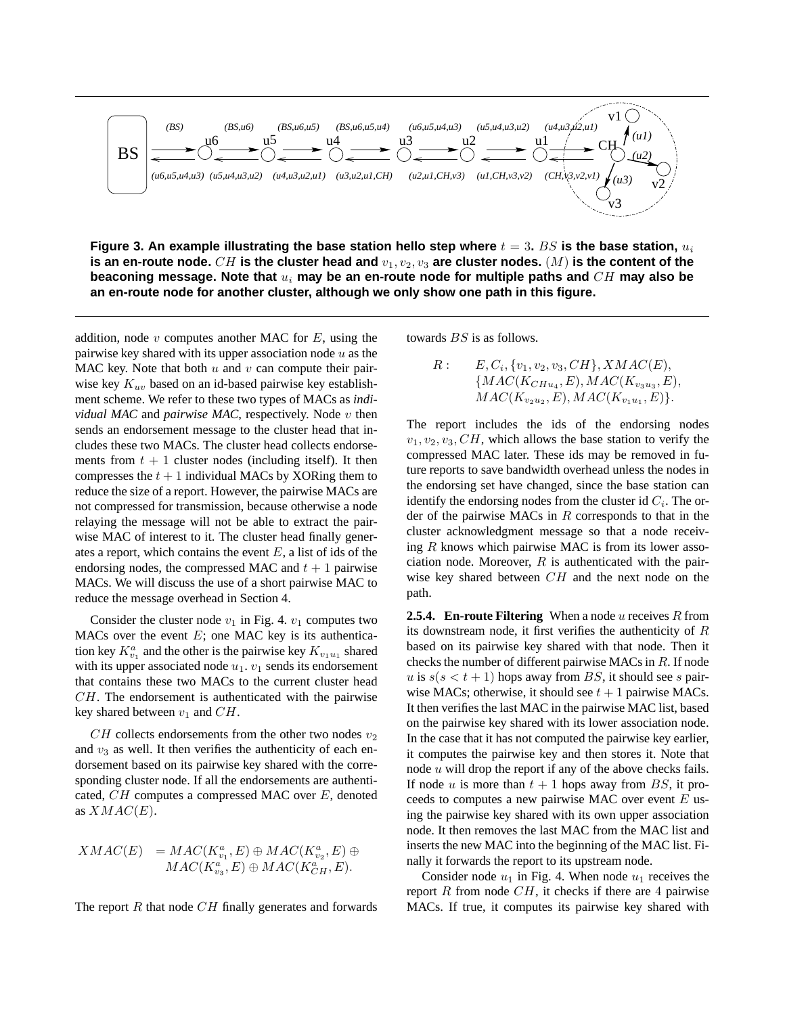

**Figure** 3. An example illustrating the base station hello step where  $t = 3$ . BS is the base station,  $u_i$ is an en-route node.  $CH$  is the cluster head and  $v_1, v_2, v_3$  are cluster nodes.  $(M)$  is the content of the **beaconing message. Note that** u<sup>i</sup> **may be an en-route node for multiple paths and** CH **may also be an en-route node for another cluster, although we only show one path in this figure.**

addition, node  $v$  computes another MAC for  $E$ , using the pairwise key shared with its upper association node  $u$  as the MAC key. Note that both  $u$  and  $v$  can compute their pairwise key  $K_{uv}$  based on an id-based pairwise key establishment scheme. We refer to these two types of MACs as *individual MAC* and *pairwise MAC*, respectively. Node v then sends an endorsement message to the cluster head that includes these two MACs. The cluster head collects endorsements from  $t + 1$  cluster nodes (including itself). It then compresses the  $t + 1$  individual MACs by XORing them to reduce the size of a report. However, the pairwise MACs are not compressed for transmission, because otherwise a node relaying the message will not be able to extract the pairwise MAC of interest to it. The cluster head finally generates a report, which contains the event  $E$ , a list of ids of the endorsing nodes, the compressed MAC and  $t + 1$  pairwise MACs. We will discuss the use of a short pairwise MAC to reduce the message overhead in Section 4.

Consider the cluster node  $v_1$  in Fig. 4.  $v_1$  computes two MACs over the event  $E$ ; one MAC key is its authentication key  $K_{v_1}^a$  and the other is the pairwise key  $K_{v_1u_1}$  shared with its upper associated node  $u_1$ .  $v_1$  sends its endorsement that contains these two MACs to the current cluster head  $CH$ . The endorsement is authenticated with the pairwise key shared between  $v_1$  and  $CH$ .

 $CH$  collects endorsements from the other two nodes  $v_2$ and  $v_3$  as well. It then verifies the authenticity of each endorsement based on its pairwise key shared with the corresponding cluster node. If all the endorsements are authenticated, CH computes a compressed MAC over E, denoted as  $XMAC(E)$ .

$$
XMAC(E) = MAC(K_{v_1}^a, E) \oplus MAC(K_{v_2}^a, E) \oplus
$$
  

$$
MAC(K_{v_3}^a, E) \oplus MAC(K_{CH}^a, E).
$$

The report  $R$  that node  $CH$  finally generates and forwards

towards BS is as follows.

R: 
$$
E, C_i, \{v_1, v_2, v_3, CH\}, XMAC(E),
$$
  
\n $\{MAC(K_{CHu_4}, E), MAC(K_{v_3u_3}, E),$   
\n $MAC(K_{v_2u_2}, E), MAC(K_{v_1u_1}, E)\}.$ 

The report includes the ids of the endorsing nodes  $v_1, v_2, v_3, CH$ , which allows the base station to verify the compressed MAC later. These ids may be removed in future reports to save bandwidth overhead unless the nodes in the endorsing set have changed, since the base station can identify the endorsing nodes from the cluster id  $C_i$ . The order of the pairwise MACs in  $R$  corresponds to that in the cluster acknowledgment message so that a node receiving  $R$  knows which pairwise MAC is from its lower association node. Moreover,  $R$  is authenticated with the pairwise key shared between  $CH$  and the next node on the path.

**2.5.4. En-route Filtering** When a node u receives R from its downstream node, it first verifies the authenticity of R based on its pairwise key shared with that node. Then it checks the number of different pairwise MACs in R. If node u is  $s(s < t + 1)$  hops away from BS, it should see s pairwise MACs; otherwise, it should see  $t + 1$  pairwise MACs. It then verifies the last MAC in the pairwise MAC list, based on the pairwise key shared with its lower association node. In the case that it has not computed the pairwise key earlier, it computes the pairwise key and then stores it. Note that node  $u$  will drop the report if any of the above checks fails. If node u is more than  $t + 1$  hops away from BS, it proceeds to computes a new pairwise MAC over event  $E$  using the pairwise key shared with its own upper association node. It then removes the last MAC from the MAC list and inserts the new MAC into the beginning of the MAC list. Finally it forwards the report to its upstream node.

Consider node  $u_1$  in Fig. 4. When node  $u_1$  receives the report  $R$  from node  $CH$ , it checks if there are 4 pairwise MACs. If true, it computes its pairwise key shared with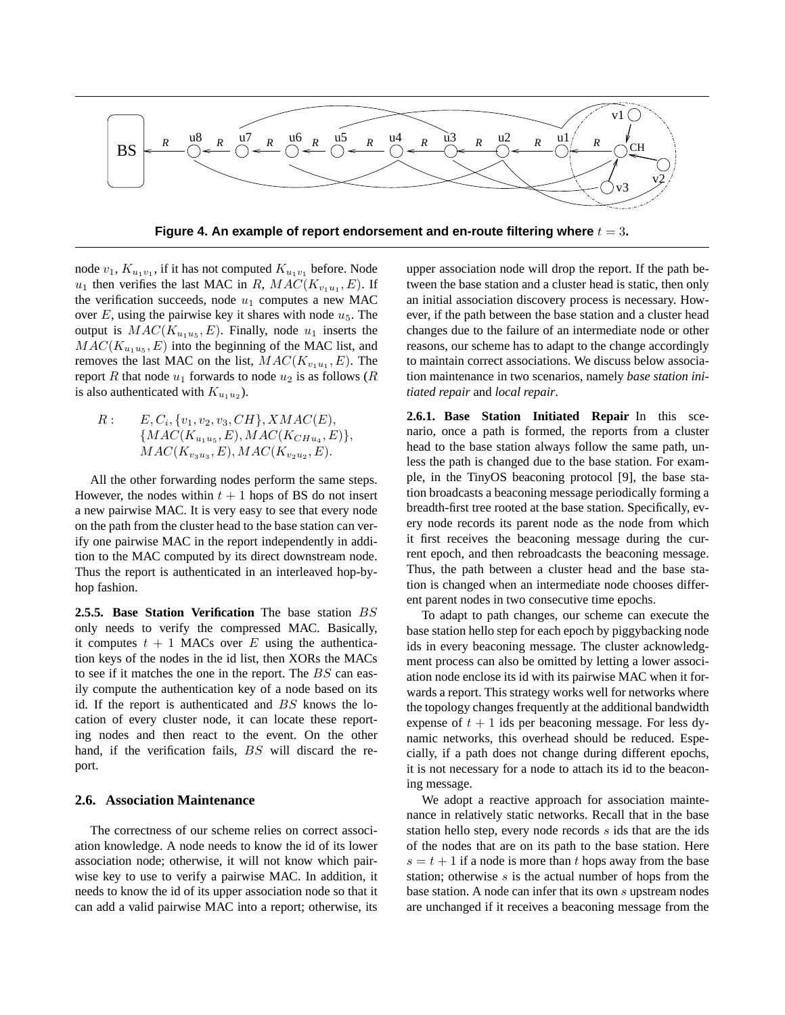

**Figure** 4. An example of report endorsement and en-route filtering where  $t = 3$ .

node  $v_1, K_{u_1v_1}$ , if it has not computed  $K_{u_1v_1}$  before. Node  $u_1$  then verifies the last MAC in R,  $MAC(K_{v_1u_1}, E)$ . If the verification succeeds, node  $u_1$  computes a new MAC over  $E$ , using the pairwise key it shares with node  $u_5$ . The output is  $MAC(K_{u_1u_5}, E)$ . Finally, node  $u_1$  inserts the  $MAC(K_{u_1u_5}, E)$  into the beginning of the MAC list, and removes the last MAC on the list,  $MAC(K_{v_1u_1}, E)$ . The report R that node  $u_1$  forwards to node  $u_2$  is as follows (R is also authenticated with  $K_{u_1u_2}$ ).

 $R: E, C_i, \{v_1, v_2, v_3, CH\}, XMAC(E),$  $\{MAC(K_{u_1u_5}, E), MAC(K_{CHu_4}, E)\},\$  $MAC(K_{v_3u_3}, E), MAC(K_{v_2u_2}, E).$ 

All the other forwarding nodes perform the same steps. However, the nodes within  $t + 1$  hops of BS do not insert a new pairwise MAC. It is very easy to see that every node on the path from the cluster head to the base station can verify one pairwise MAC in the report independently in addition to the MAC computed by its direct downstream node. Thus the report is authenticated in an interleaved hop-byhop fashion.

**2.5.5. Base Station Verification** The base station BS only needs to verify the compressed MAC. Basically, it computes  $t + 1$  MACs over E using the authentication keys of the nodes in the id list, then XORs the MACs to see if it matches the one in the report. The BS can easily compute the authentication key of a node based on its id. If the report is authenticated and BS knows the location of every cluster node, it can locate these reporting nodes and then react to the event. On the other hand, if the verification fails, BS will discard the report.

#### **2.6. Association Maintenance**

The correctness of our scheme relies on correct association knowledge. A node needs to know the id of its lower association node; otherwise, it will not know which pairwise key to use to verify a pairwise MAC. In addition, it needs to know the id of its upper association node so that it can add a valid pairwise MAC into a report; otherwise, its

upper association node will drop the report. If the path between the base station and a cluster head is static, then only an initial association discovery process is necessary. However, if the path between the base station and a cluster head changes due to the failure of an intermediate node or other reasons, our scheme has to adapt to the change accordingly to maintain correct associations. We discuss below association maintenance in two scenarios, namely *base station initiated repair* and *local repair*.

**2.6.1. Base Station Initiated Repair** In this scenario, once a path is formed, the reports from a cluster head to the base station always follow the same path, unless the path is changed due to the base station. For example, in the TinyOS beaconing protocol [9], the base station broadcasts a beaconing message periodically forming a breadth-first tree rooted at the base station. Specifically, every node records its parent node as the node from which it first receives the beaconing message during the current epoch, and then rebroadcasts the beaconing message. Thus, the path between a cluster head and the base station is changed when an intermediate node chooses different parent nodes in two consecutive time epochs.

To adapt to path changes, our scheme can execute the base station hello step for each epoch by piggybacking node ids in every beaconing message. The cluster acknowledgment process can also be omitted by letting a lower association node enclose its id with its pairwise MAC when it forwards a report. This strategy works well for networks where the topology changes frequently at the additional bandwidth expense of  $t + 1$  ids per beaconing message. For less dynamic networks, this overhead should be reduced. Especially, if a path does not change during different epochs, it is not necessary for a node to attach its id to the beaconing message.

We adopt a reactive approach for association maintenance in relatively static networks. Recall that in the base station hello step, every node records s ids that are the ids of the nodes that are on its path to the base station. Here  $s = t + 1$  if a node is more than t hops away from the base station; otherwise  $s$  is the actual number of hops from the base station. A node can infer that its own s upstream nodes are unchanged if it receives a beaconing message from the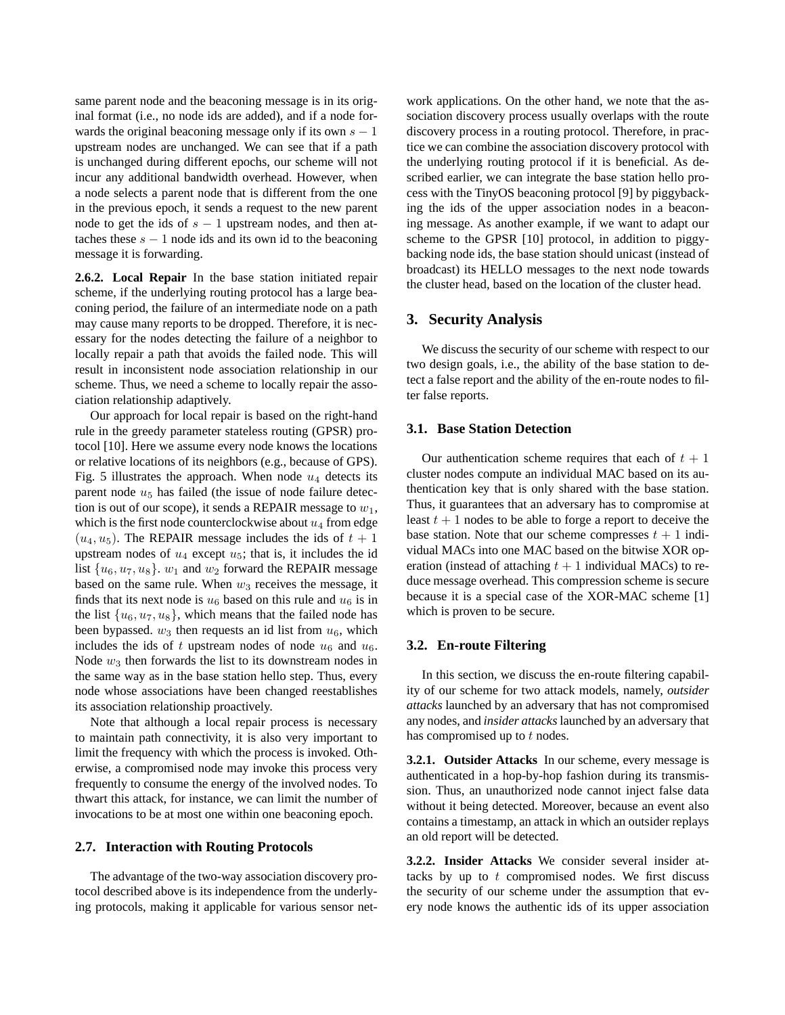same parent node and the beaconing message is in its original format (i.e., no node ids are added), and if a node forwards the original beaconing message only if its own  $s - 1$ upstream nodes are unchanged. We can see that if a path is unchanged during different epochs, our scheme will not incur any additional bandwidth overhead. However, when a node selects a parent node that is different from the one in the previous epoch, it sends a request to the new parent node to get the ids of  $s - 1$  upstream nodes, and then attaches these  $s - 1$  node ids and its own id to the beaconing message it is forwarding.

**2.6.2. Local Repair** In the base station initiated repair scheme, if the underlying routing protocol has a large beaconing period, the failure of an intermediate node on a path may cause many reports to be dropped. Therefore, it is necessary for the nodes detecting the failure of a neighbor to locally repair a path that avoids the failed node. This will result in inconsistent node association relationship in our scheme. Thus, we need a scheme to locally repair the association relationship adaptively.

Our approach for local repair is based on the right-hand rule in the greedy parameter stateless routing (GPSR) protocol [10]. Here we assume every node knows the locations or relative locations of its neighbors (e.g., because of GPS). Fig. 5 illustrates the approach. When node  $u_4$  detects its parent node  $u_5$  has failed (the issue of node failure detection is out of our scope), it sends a REPAIR message to  $w_1$ , which is the first node counterclockwise about  $u_4$  from edge  $(u_4, u_5)$ . The REPAIR message includes the ids of  $t + 1$ upstream nodes of  $u_4$  except  $u_5$ ; that is, it includes the id list  $\{u_6, u_7, u_8\}$ .  $w_1$  and  $w_2$  forward the REPAIR message based on the same rule. When  $w_3$  receives the message, it finds that its next node is  $u_6$  based on this rule and  $u_6$  is in the list  $\{u_6, u_7, u_8\}$ , which means that the failed node has been bypassed.  $w_3$  then requests an id list from  $u_6$ , which includes the ids of t upstream nodes of node  $u_6$  and  $u_6$ . Node  $w_3$  then forwards the list to its downstream nodes in the same way as in the base station hello step. Thus, every node whose associations have been changed reestablishes its association relationship proactively.

Note that although a local repair process is necessary to maintain path connectivity, it is also very important to limit the frequency with which the process is invoked. Otherwise, a compromised node may invoke this process very frequently to consume the energy of the involved nodes. To thwart this attack, for instance, we can limit the number of invocations to be at most one within one beaconing epoch.

# **2.7. Interaction with Routing Protocols**

The advantage of the two-way association discovery protocol described above is its independence from the underlying protocols, making it applicable for various sensor net-

work applications. On the other hand, we note that the association discovery process usually overlaps with the route discovery process in a routing protocol. Therefore, in practice we can combine the association discovery protocol with the underlying routing protocol if it is beneficial. As described earlier, we can integrate the base station hello process with the TinyOS beaconing protocol [9] by piggybacking the ids of the upper association nodes in a beaconing message. As another example, if we want to adapt our scheme to the GPSR [10] protocol, in addition to piggybacking node ids, the base station should unicast (instead of broadcast) its HELLO messages to the next node towards the cluster head, based on the location of the cluster head.

#### **3. Security Analysis**

We discuss the security of our scheme with respect to our two design goals, i.e., the ability of the base station to detect a false report and the ability of the en-route nodes to filter false reports.

#### **3.1. Base Station Detection**

Our authentication scheme requires that each of  $t + 1$ cluster nodes compute an individual MAC based on its authentication key that is only shared with the base station. Thus, it guarantees that an adversary has to compromise at least  $t + 1$  nodes to be able to forge a report to deceive the base station. Note that our scheme compresses  $t + 1$  individual MACs into one MAC based on the bitwise XOR operation (instead of attaching  $t + 1$  individual MACs) to reduce message overhead. This compression scheme is secure because it is a special case of the XOR-MAC scheme [1] which is proven to be secure.

#### **3.2. En-route Filtering**

In this section, we discuss the en-route filtering capability of our scheme for two attack models, namely, *outsider attacks* launched by an adversary that has not compromised any nodes, and *insider attacks*launched by an adversary that has compromised up to  $t$  nodes.

**3.2.1. Outsider Attacks** In our scheme, every message is authenticated in a hop-by-hop fashion during its transmission. Thus, an unauthorized node cannot inject false data without it being detected. Moreover, because an event also contains a timestamp, an attack in which an outsider replays an old report will be detected.

**3.2.2. Insider Attacks** We consider several insider attacks by up to  $t$  compromised nodes. We first discuss the security of our scheme under the assumption that every node knows the authentic ids of its upper association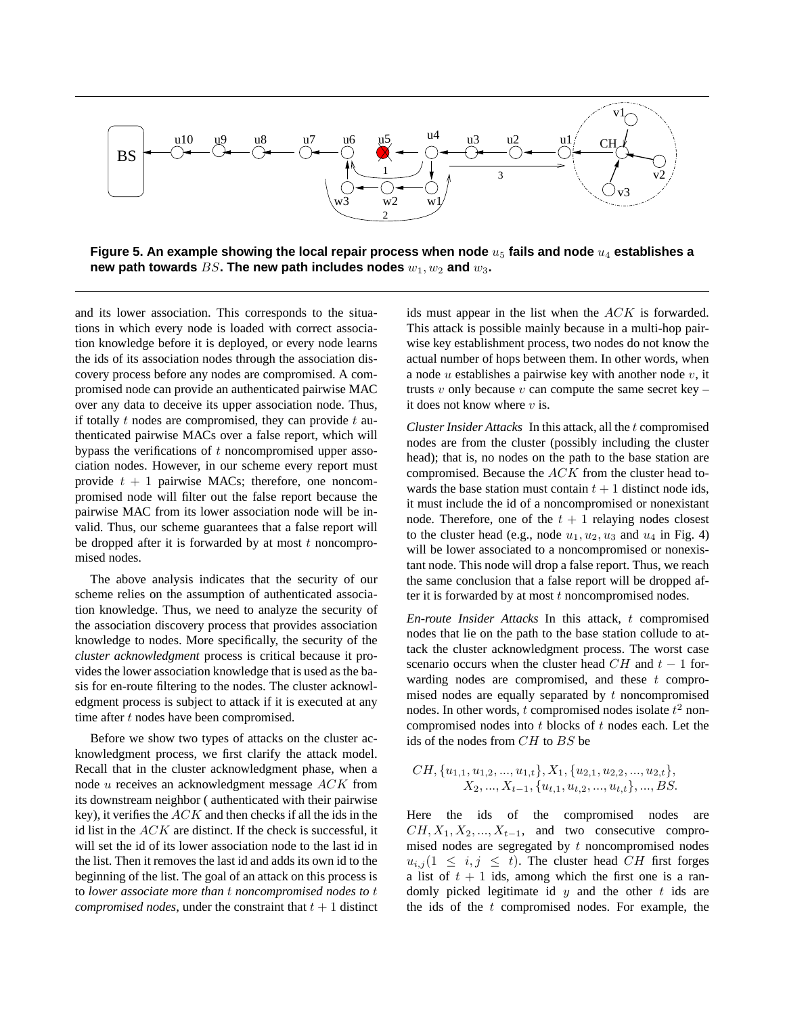

**Figure** 5. An example showing the local repair process when node  $u_5$  fails and node  $u_4$  establishes a **new** path **towards** BS. The new path includes nodes  $w_1, w_2$  and  $w_3$ .

and its lower association. This corresponds to the situations in which every node is loaded with correct association knowledge before it is deployed, or every node learns the ids of its association nodes through the association discovery process before any nodes are compromised. A compromised node can provide an authenticated pairwise MAC over any data to deceive its upper association node. Thus, if totally  $t$  nodes are compromised, they can provide  $t$  authenticated pairwise MACs over a false report, which will bypass the verifications of  $t$  noncompromised upper association nodes. However, in our scheme every report must provide  $t + 1$  pairwise MACs; therefore, one noncompromised node will filter out the false report because the pairwise MAC from its lower association node will be invalid. Thus, our scheme guarantees that a false report will be dropped after it is forwarded by at most  $t$  noncompromised nodes.

The above analysis indicates that the security of our scheme relies on the assumption of authenticated association knowledge. Thus, we need to analyze the security of the association discovery process that provides association knowledge to nodes. More specifically, the security of the *cluster acknowledgment* process is critical because it provides the lower association knowledge that is used as the basis for en-route filtering to the nodes. The cluster acknowledgment process is subject to attack if it is executed at any time after  $t$  nodes have been compromised.

Before we show two types of attacks on the cluster acknowledgment process, we first clarify the attack model. Recall that in the cluster acknowledgment phase, when a node u receives an acknowledgment message ACK from its downstream neighbor ( authenticated with their pairwise key), it verifies the  $ACK$  and then checks if all the ids in the id list in the  $ACK$  are distinct. If the check is successful, it will set the id of its lower association node to the last id in the list. Then it removes the last id and adds its own id to the beginning of the list. The goal of an attack on this process is to *lower associate more than* t *noncompromised nodes to* t *compromised nodes*, under the constraint that  $t + 1$  distinct ids must appear in the list when the ACK is forwarded. This attack is possible mainly because in a multi-hop pairwise key establishment process, two nodes do not know the actual number of hops between them. In other words, when a node  $u$  establishes a pairwise key with another node  $v$ , it trusts  $v$  only because  $v$  can compute the same secret key – it does not know where  $v$  is.

*Cluster Insider Attacks* In this attack, all the t compromised nodes are from the cluster (possibly including the cluster head); that is, no nodes on the path to the base station are compromised. Because the ACK from the cluster head towards the base station must contain  $t + 1$  distinct node ids, it must include the id of a noncompromised or nonexistant node. Therefore, one of the  $t + 1$  relaying nodes closest to the cluster head (e.g., node  $u_1, u_2, u_3$  and  $u_4$  in Fig. 4) will be lower associated to a noncompromised or nonexistant node. This node will drop a false report. Thus, we reach the same conclusion that a false report will be dropped after it is forwarded by at most  $t$  noncompromised nodes.

*En-route Insider Attacks* In this attack, t compromised nodes that lie on the path to the base station collude to attack the cluster acknowledgment process. The worst case scenario occurs when the cluster head  $CH$  and  $t - 1$  forwarding nodes are compromised, and these  $t$  compromised nodes are equally separated by  $t$  noncompromised nodes. In other words, t compromised nodes isolate  $t^2$  noncompromised nodes into  $t$  blocks of  $t$  nodes each. Let the ids of the nodes from CH to BS be

$$
CH, \{u_{1,1}, u_{1,2}, ..., u_{1,t}\}, X_1, \{u_{2,1}, u_{2,2}, ..., u_{2,t}\},
$$
  

$$
X_2, ..., X_{t-1}, \{u_{t,1}, u_{t,2}, ..., u_{t,t}\}, ..., BS.
$$

Here the ids of the compromised nodes are  $CH, X_1, X_2, ..., X_{t-1}$ , and two consecutive compromised nodes are segregated by  $t$  noncompromised nodes  $u_{i,j}$  (1  $\leq i,j \leq t$ ). The cluster head CH first forges a list of  $t + 1$  ids, among which the first one is a randomly picked legitimate id  $y$  and the other  $t$  ids are the ids of the  $t$  compromised nodes. For example, the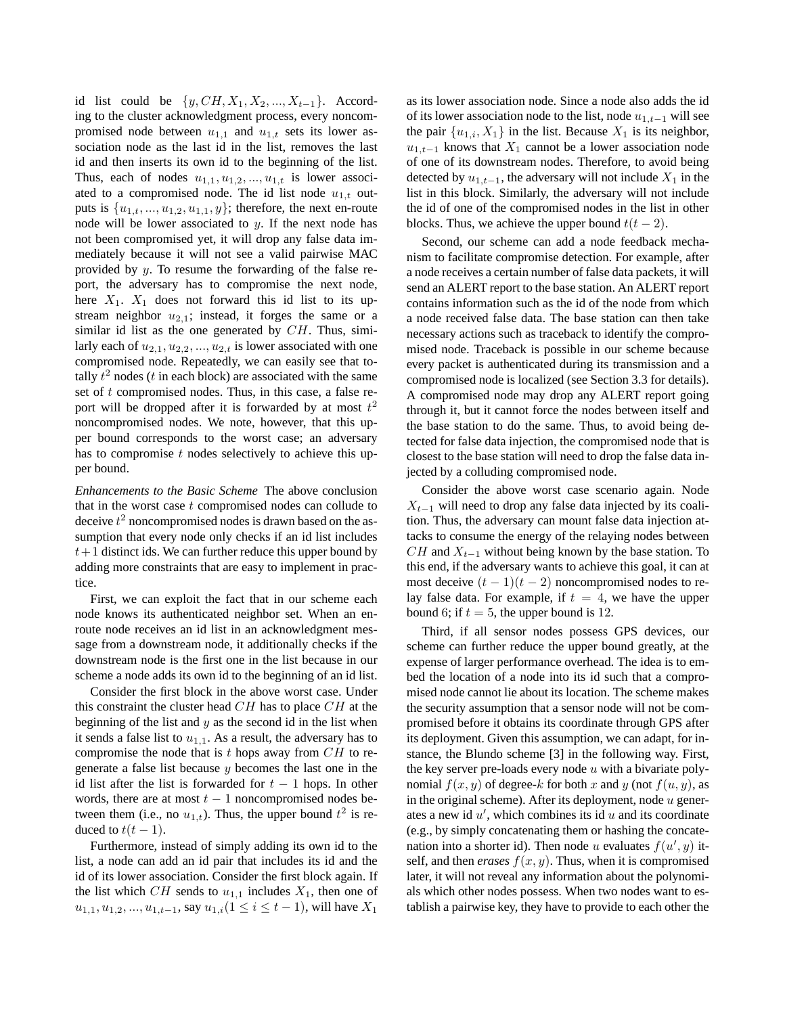id list could be  $\{y, CH, X_1, X_2, ..., X_{t-1}\}.$  According to the cluster acknowledgment process, every noncompromised node between  $u_{1,1}$  and  $u_{1,t}$  sets its lower association node as the last id in the list, removes the last id and then inserts its own id to the beginning of the list. Thus, each of nodes  $u_{1,1}, u_{1,2}, \ldots, u_{1,t}$  is lower associated to a compromised node. The id list node  $u_{1,t}$  outputs is  $\{u_{1,t},...,u_{1,2},u_{1,1},y\}$ ; therefore, the next en-route node will be lower associated to  $y$ . If the next node has not been compromised yet, it will drop any false data immediately because it will not see a valid pairwise MAC provided by  $y$ . To resume the forwarding of the false report, the adversary has to compromise the next node, here  $X_1$ .  $X_1$  does not forward this id list to its upstream neighbor  $u_{2,1}$ ; instead, it forges the same or a similar id list as the one generated by  $CH$ . Thus, similarly each of  $u_{2,1}, u_{2,2}, \ldots, u_{2,t}$  is lower associated with one compromised node. Repeatedly, we can easily see that totally  $t^2$  nodes (*t* in each block) are associated with the same set of t compromised nodes. Thus, in this case, a false report will be dropped after it is forwarded by at most  $t^2$ noncompromised nodes. We note, however, that this upper bound corresponds to the worst case; an adversary has to compromise  $t$  nodes selectively to achieve this upper bound.

*Enhancements to the Basic Scheme* The above conclusion that in the worst case  $t$  compromised nodes can collude to deceive  $t^2$  noncompromised nodes is drawn based on the assumption that every node only checks if an id list includes  $t+1$  distinct ids. We can further reduce this upper bound by adding more constraints that are easy to implement in practice.

First, we can exploit the fact that in our scheme each node knows its authenticated neighbor set. When an enroute node receives an id list in an acknowledgment message from a downstream node, it additionally checks if the downstream node is the first one in the list because in our scheme a node adds its own id to the beginning of an id list.

Consider the first block in the above worst case. Under this constraint the cluster head  $CH$  has to place  $CH$  at the beginning of the list and  $y$  as the second id in the list when it sends a false list to  $u_{1,1}$ . As a result, the adversary has to compromise the node that is  $t$  hops away from  $CH$  to regenerate a false list because  $y$  becomes the last one in the id list after the list is forwarded for  $t - 1$  hops. In other words, there are at most  $t - 1$  noncompromised nodes between them (i.e., no  $u_{1,t}$ ). Thus, the upper bound  $t^2$  is reduced to  $t(t-1)$ .

Furthermore, instead of simply adding its own id to the list, a node can add an id pair that includes its id and the id of its lower association. Consider the first block again. If the list which CH sends to  $u_{1,1}$  includes  $X_1$ , then one of  $u_{1,1}, u_{1,2}, ..., u_{1,t-1}$ , say  $u_{1,i}$ (1 ≤  $i \le t-1$ ), will have  $X_1$ 

as its lower association node. Since a node also adds the id of its lower association node to the list, node  $u_{1,t-1}$  will see the pair  $\{u_{1,i}, X_1\}$  in the list. Because  $X_1$  is its neighbor,  $u_{1,t-1}$  knows that  $X_1$  cannot be a lower association node of one of its downstream nodes. Therefore, to avoid being detected by  $u_{1,t-1}$ , the adversary will not include  $X_1$  in the list in this block. Similarly, the adversary will not include the id of one of the compromised nodes in the list in other blocks. Thus, we achieve the upper bound  $t(t - 2)$ .

Second, our scheme can add a node feedback mechanism to facilitate compromise detection. For example, after a node receives a certain number of false data packets, it will send an ALERT report to the base station. An ALERT report contains information such as the id of the node from which a node received false data. The base station can then take necessary actions such as traceback to identify the compromised node. Traceback is possible in our scheme because every packet is authenticated during its transmission and a compromised node is localized (see Section 3.3 for details). A compromised node may drop any ALERT report going through it, but it cannot force the nodes between itself and the base station to do the same. Thus, to avoid being detected for false data injection, the compromised node that is closest to the base station will need to drop the false data injected by a colluding compromised node.

Consider the above worst case scenario again. Node  $X_{t-1}$  will need to drop any false data injected by its coalition. Thus, the adversary can mount false data injection attacks to consume the energy of the relaying nodes between  $CH$  and  $X_{t-1}$  without being known by the base station. To this end, if the adversary wants to achieve this goal, it can at most deceive  $(t - 1)(t - 2)$  noncompromised nodes to relay false data. For example, if  $t = 4$ , we have the upper bound 6; if  $t = 5$ , the upper bound is 12.

Third, if all sensor nodes possess GPS devices, our scheme can further reduce the upper bound greatly, at the expense of larger performance overhead. The idea is to embed the location of a node into its id such that a compromised node cannot lie about its location. The scheme makes the security assumption that a sensor node will not be compromised before it obtains its coordinate through GPS after its deployment. Given this assumption, we can adapt, for instance, the Blundo scheme [3] in the following way. First, the key server pre-loads every node  $u$  with a bivariate polynomial  $f(x, y)$  of degree-k for both x and y (not  $f(u, y)$ , as in the original scheme). After its deployment, node  $u$  generates a new id  $u'$ , which combines its id  $u$  and its coordinate (e.g., by simply concatenating them or hashing the concatenation into a shorter id). Then node u evaluates  $f(u', y)$  itself, and then *erases*  $f(x, y)$ . Thus, when it is compromised later, it will not reveal any information about the polynomials which other nodes possess. When two nodes want to establish a pairwise key, they have to provide to each other the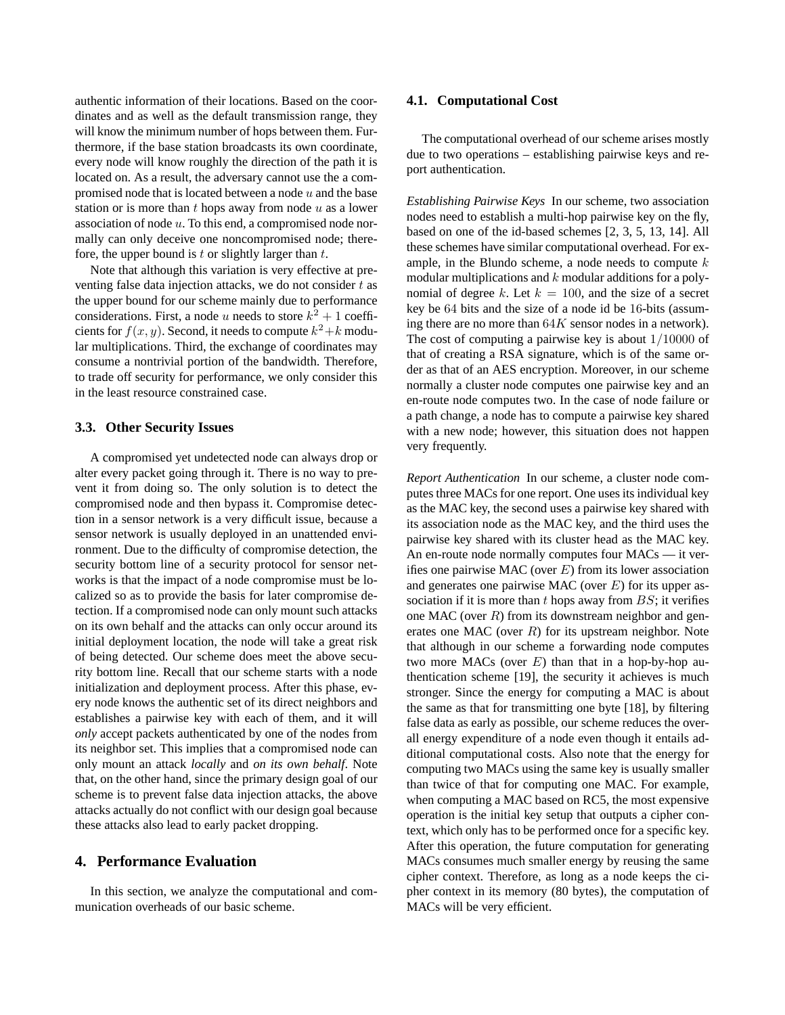authentic information of their locations. Based on the coordinates and as well as the default transmission range, they will know the minimum number of hops between them. Furthermore, if the base station broadcasts its own coordinate, every node will know roughly the direction of the path it is located on. As a result, the adversary cannot use the a compromised node that is located between a node  $u$  and the base station or is more than  $t$  hops away from node  $u$  as a lower association of node u. To this end, a compromised node normally can only deceive one noncompromised node; therefore, the upper bound is  $t$  or slightly larger than  $t$ .

Note that although this variation is very effective at preventing false data injection attacks, we do not consider  $t$  as the upper bound for our scheme mainly due to performance considerations. First, a node u needs to store  $k^2 + 1$  coefficients for  $f(x, y)$ . Second, it needs to compute  $k^2 + k$  modular multiplications. Third, the exchange of coordinates may consume a nontrivial portion of the bandwidth. Therefore, to trade off security for performance, we only consider this in the least resource constrained case.

#### **3.3. Other Security Issues**

A compromised yet undetected node can always drop or alter every packet going through it. There is no way to prevent it from doing so. The only solution is to detect the compromised node and then bypass it. Compromise detection in a sensor network is a very difficult issue, because a sensor network is usually deployed in an unattended environment. Due to the difficulty of compromise detection, the security bottom line of a security protocol for sensor networks is that the impact of a node compromise must be localized so as to provide the basis for later compromise detection. If a compromised node can only mount such attacks on its own behalf and the attacks can only occur around its initial deployment location, the node will take a great risk of being detected. Our scheme does meet the above security bottom line. Recall that our scheme starts with a node initialization and deployment process. After this phase, every node knows the authentic set of its direct neighbors and establishes a pairwise key with each of them, and it will *only* accept packets authenticated by one of the nodes from its neighbor set. This implies that a compromised node can only mount an attack *locally* and *on its own behalf*. Note that, on the other hand, since the primary design goal of our scheme is to prevent false data injection attacks, the above attacks actually do not conflict with our design goal because these attacks also lead to early packet dropping.

# **4. Performance Evaluation**

In this section, we analyze the computational and communication overheads of our basic scheme.

#### **4.1. Computational Cost**

The computational overhead of our scheme arises mostly due to two operations – establishing pairwise keys and report authentication.

*Establishing Pairwise Keys* In our scheme, two association nodes need to establish a multi-hop pairwise key on the fly, based on one of the id-based schemes [2, 3, 5, 13, 14]. All these schemes have similar computational overhead. For example, in the Blundo scheme, a node needs to compute  $k$ modular multiplications and  $k$  modular additions for a polynomial of degree k. Let  $k = 100$ , and the size of a secret key be 64 bits and the size of a node id be 16-bits (assuming there are no more than 64K sensor nodes in a network). The cost of computing a pairwise key is about 1/10000 of that of creating a RSA signature, which is of the same order as that of an AES encryption. Moreover, in our scheme normally a cluster node computes one pairwise key and an en-route node computes two. In the case of node failure or a path change, a node has to compute a pairwise key shared with a new node; however, this situation does not happen very frequently.

*Report Authentication* In our scheme, a cluster node computes three MACs for one report. One uses its individual key as the MAC key, the second uses a pairwise key shared with its association node as the MAC key, and the third uses the pairwise key shared with its cluster head as the MAC key. An en-route node normally computes four MACs — it verifies one pairwise MAC (over  $E$ ) from its lower association and generates one pairwise MAC (over  $E$ ) for its upper association if it is more than  $t$  hops away from  $BS$ ; it verifies one MAC (over  $R$ ) from its downstream neighbor and generates one MAC (over  $R$ ) for its upstream neighbor. Note that although in our scheme a forwarding node computes two more MACs (over  $E$ ) than that in a hop-by-hop authentication scheme [19], the security it achieves is much stronger. Since the energy for computing a MAC is about the same as that for transmitting one byte [18], by filtering false data as early as possible, our scheme reduces the overall energy expenditure of a node even though it entails additional computational costs. Also note that the energy for computing two MACs using the same key is usually smaller than twice of that for computing one MAC. For example, when computing a MAC based on RC5, the most expensive operation is the initial key setup that outputs a cipher context, which only has to be performed once for a specific key. After this operation, the future computation for generating MACs consumes much smaller energy by reusing the same cipher context. Therefore, as long as a node keeps the cipher context in its memory (80 bytes), the computation of MACs will be very efficient.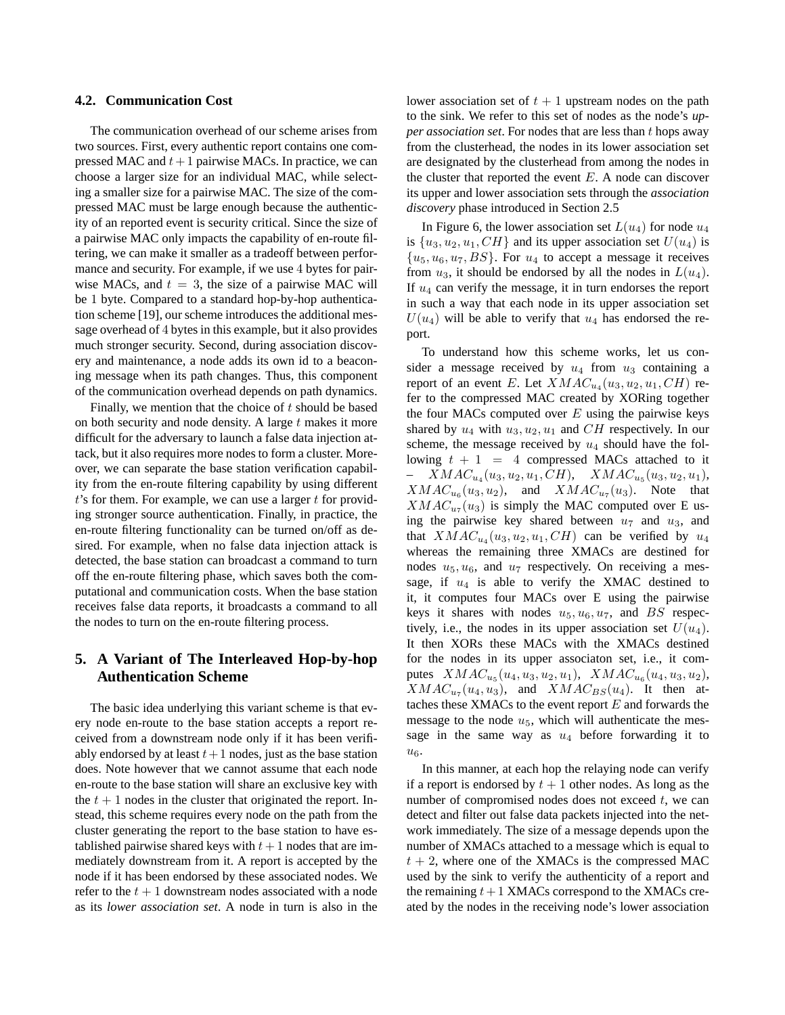#### **4.2. Communication Cost**

The communication overhead of our scheme arises from two sources. First, every authentic report contains one compressed MAC and  $t+1$  pairwise MACs. In practice, we can choose a larger size for an individual MAC, while selecting a smaller size for a pairwise MAC. The size of the compressed MAC must be large enough because the authenticity of an reported event is security critical. Since the size of a pairwise MAC only impacts the capability of en-route filtering, we can make it smaller as a tradeoff between performance and security. For example, if we use 4 bytes for pairwise MACs, and  $t = 3$ , the size of a pairwise MAC will be 1 byte. Compared to a standard hop-by-hop authentication scheme [19], our scheme introduces the additional message overhead of 4 bytes in this example, but it also provides much stronger security. Second, during association discovery and maintenance, a node adds its own id to a beaconing message when its path changes. Thus, this component of the communication overhead depends on path dynamics.

Finally, we mention that the choice of  $t$  should be based on both security and node density. A large  $t$  makes it more difficult for the adversary to launch a false data injection attack, but it also requires more nodes to form a cluster. Moreover, we can separate the base station verification capability from the en-route filtering capability by using different  $t$ 's for them. For example, we can use a larger  $t$  for providing stronger source authentication. Finally, in practice, the en-route filtering functionality can be turned on/off as desired. For example, when no false data injection attack is detected, the base station can broadcast a command to turn off the en-route filtering phase, which saves both the computational and communication costs. When the base station receives false data reports, it broadcasts a command to all the nodes to turn on the en-route filtering process.

# **5. A Variant of The Interleaved Hop-by-hop Authentication Scheme**

The basic idea underlying this variant scheme is that every node en-route to the base station accepts a report received from a downstream node only if it has been verifiably endorsed by at least  $t+1$  nodes, just as the base station does. Note however that we cannot assume that each node en-route to the base station will share an exclusive key with the  $t + 1$  nodes in the cluster that originated the report. Instead, this scheme requires every node on the path from the cluster generating the report to the base station to have established pairwise shared keys with  $t + 1$  nodes that are immediately downstream from it. A report is accepted by the node if it has been endorsed by these associated nodes. We refer to the  $t + 1$  downstream nodes associated with a node as its *lower association set*. A node in turn is also in the

lower association set of  $t + 1$  upstream nodes on the path to the sink. We refer to this set of nodes as the node's *upper association set.* For nodes that are less than t hops away from the clusterhead, the nodes in its lower association set are designated by the clusterhead from among the nodes in the cluster that reported the event  $E$ . A node can discover its upper and lower association sets through the *association discovery* phase introduced in Section 2.5

In Figure 6, the lower association set  $L(u_4)$  for node  $u_4$ is  $\{u_3, u_2, u_1, CH\}$  and its upper association set  $U(u_4)$  is  ${u_5, u_6, u_7, BS}$ . For  $u_4$  to accept a message it receives from  $u_3$ , it should be endorsed by all the nodes in  $L(u_4)$ . If  $u_4$  can verify the message, it in turn endorses the report in such a way that each node in its upper association set  $U(u_4)$  will be able to verify that  $u_4$  has endorsed the report.

To understand how this scheme works, let us consider a message received by  $u_4$  from  $u_3$  containing a report of an event E. Let  $XMAC_{u_4}(u_3, u_2, u_1, CH)$  refer to the compressed MAC created by XORing together the four MACs computed over  $E$  using the pairwise keys shared by  $u_4$  with  $u_3, u_2, u_1$  and CH respectively. In our scheme, the message received by  $u_4$  should have the following  $t + 1 = 4$  compressed MACs attached to it  $- XMAC_{u_4}(u_3, u_2, u_1, CH), XMAC_{u_5}(u_3, u_2, u_1),$  $XMAC_{u_6}(u_3, u_2)$ , and  $XMAC_{u_7}(u_3)$ . Note that  $XMAC_{u7}(u_3)$  is simply the MAC computed over E using the pairwise key shared between  $u_7$  and  $u_3$ , and that  $XMAC_{u_4}(u_3, u_2, u_1, CH)$  can be verified by  $u_4$ whereas the remaining three XMACs are destined for nodes  $u_5, u_6$ , and  $u_7$  respectively. On receiving a message, if  $u_4$  is able to verify the XMAC destined to it, it computes four MACs over E using the pairwise keys it shares with nodes  $u_5, u_6, u_7$ , and BS respectively, i.e., the nodes in its upper association set  $U(u_4)$ . It then XORs these MACs with the XMACs destined for the nodes in its upper associaton set, i.e., it computes  $XMAC_{u_5}(u_4, u_3, u_2, u_1)$ ,  $XMAC_{u_6}(u_4, u_3, u_2)$ ,  $XMAC_{u_7}(u_4, u_3)$ , and  $XMAC_{BS}(u_4)$ . It then attaches these XMACs to the event report  $E$  and forwards the message to the node  $u_5$ , which will authenticate the message in the same way as  $u_4$  before forwarding it to  $u_{\mathcal{B}}$ .

In this manner, at each hop the relaying node can verify if a report is endorsed by  $t + 1$  other nodes. As long as the number of compromised nodes does not exceed  $t$ , we can detect and filter out false data packets injected into the network immediately. The size of a message depends upon the number of XMACs attached to a message which is equal to  $t + 2$ , where one of the XMACs is the compressed MAC used by the sink to verify the authenticity of a report and the remaining  $t+1$  XMACs correspond to the XMACs created by the nodes in the receiving node's lower association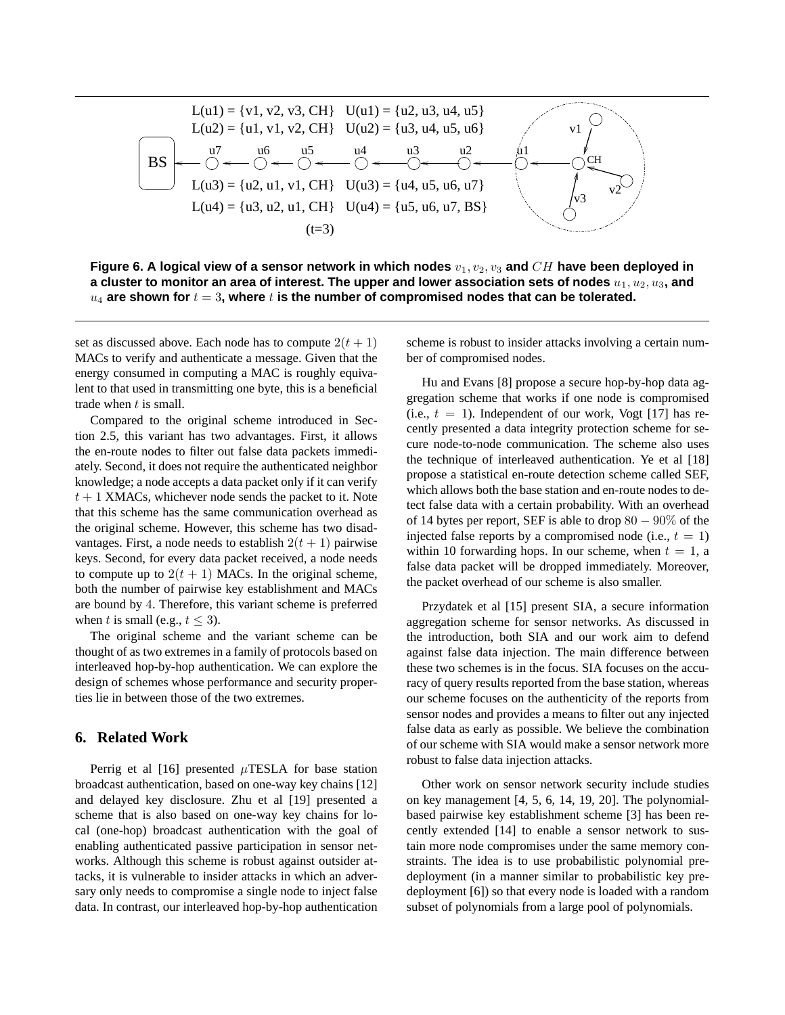

**Figure 6. A logical view of a sensor network in which nodes** v1, v2, v<sup>3</sup> **and** CH **have been deployed in** a cluster to monitor an area of interest. The upper and lower association sets of nodes  $u_1, u_2, u_3$ , and  $u_4$  are shown for  $t = 3$ , where  $t$  is the number of compromised nodes that can be tolerated.

set as discussed above. Each node has to compute  $2(t + 1)$ MACs to verify and authenticate a message. Given that the energy consumed in computing a MAC is roughly equivalent to that used in transmitting one byte, this is a beneficial trade when  $t$  is small.

Compared to the original scheme introduced in Section 2.5, this variant has two advantages. First, it allows the en-route nodes to filter out false data packets immediately. Second, it does not require the authenticated neighbor knowledge; a node accepts a data packet only if it can verify  $t + 1$  XMACs, whichever node sends the packet to it. Note that this scheme has the same communication overhead as the original scheme. However, this scheme has two disadvantages. First, a node needs to establish  $2(t + 1)$  pairwise keys. Second, for every data packet received, a node needs to compute up to  $2(t + 1)$  MACs. In the original scheme, both the number of pairwise key establishment and MACs are bound by 4. Therefore, this variant scheme is preferred when t is small (e.g.,  $t \leq 3$ ).

The original scheme and the variant scheme can be thought of as two extremes in a family of protocols based on interleaved hop-by-hop authentication. We can explore the design of schemes whose performance and security properties lie in between those of the two extremes.

# **6. Related Work**

Perrig et al [16] presented  $\mu$ TESLA for base station broadcast authentication, based on one-way key chains [12] and delayed key disclosure. Zhu et al [19] presented a scheme that is also based on one-way key chains for local (one-hop) broadcast authentication with the goal of enabling authenticated passive participation in sensor networks. Although this scheme is robust against outsider attacks, it is vulnerable to insider attacks in which an adversary only needs to compromise a single node to inject false data. In contrast, our interleaved hop-by-hop authentication

scheme is robust to insider attacks involving a certain number of compromised nodes.

Hu and Evans [8] propose a secure hop-by-hop data aggregation scheme that works if one node is compromised (i.e.,  $t = 1$ ). Independent of our work, Vogt [17] has recently presented a data integrity protection scheme for secure node-to-node communication. The scheme also uses the technique of interleaved authentication. Ye et al [18] propose a statistical en-route detection scheme called SEF, which allows both the base station and en-route nodes to detect false data with a certain probability. With an overhead of 14 bytes per report, SEF is able to drop  $80 - 90\%$  of the injected false reports by a compromised node (i.e.,  $t = 1$ ) within 10 forwarding hops. In our scheme, when  $t = 1$ , a false data packet will be dropped immediately. Moreover, the packet overhead of our scheme is also smaller.

Przydatek et al [15] present SIA, a secure information aggregation scheme for sensor networks. As discussed in the introduction, both SIA and our work aim to defend against false data injection. The main difference between these two schemes is in the focus. SIA focuses on the accuracy of query results reported from the base station, whereas our scheme focuses on the authenticity of the reports from sensor nodes and provides a means to filter out any injected false data as early as possible. We believe the combination of our scheme with SIA would make a sensor network more robust to false data injection attacks.

Other work on sensor network security include studies on key management [4, 5, 6, 14, 19, 20]. The polynomialbased pairwise key establishment scheme [3] has been recently extended [14] to enable a sensor network to sustain more node compromises under the same memory constraints. The idea is to use probabilistic polynomial predeployment (in a manner similar to probabilistic key predeployment [6]) so that every node is loaded with a random subset of polynomials from a large pool of polynomials.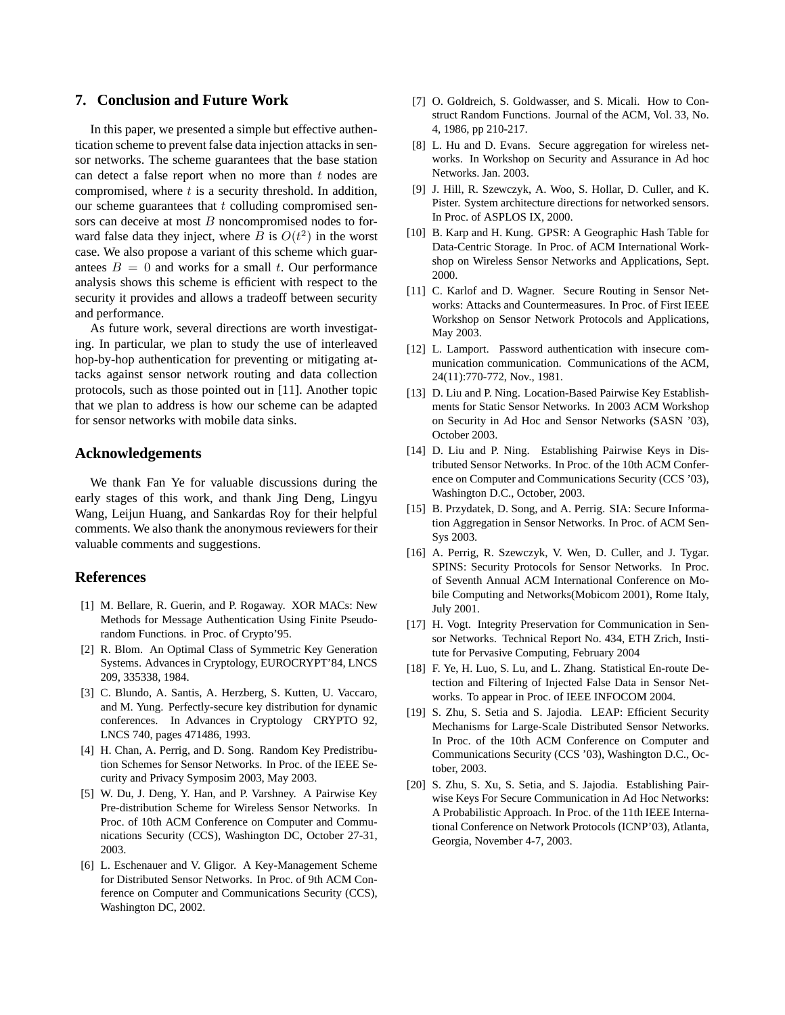# **7. Conclusion and Future Work**

In this paper, we presented a simple but effective authentication scheme to prevent false data injection attacksin sensor networks. The scheme guarantees that the base station can detect a false report when no more than  $t$  nodes are compromised, where  $t$  is a security threshold. In addition, our scheme guarantees that  $t$  colluding compromised sensors can deceive at most  $B$  noncompromised nodes to forward false data they inject, where B is  $O(t^2)$  in the worst case. We also propose a variant of this scheme which guarantees  $B = 0$  and works for a small t. Our performance analysis shows this scheme is efficient with respect to the security it provides and allows a tradeoff between security and performance.

As future work, several directions are worth investigating. In particular, we plan to study the use of interleaved hop-by-hop authentication for preventing or mitigating attacks against sensor network routing and data collection protocols, such as those pointed out in [11]. Another topic that we plan to address is how our scheme can be adapted for sensor networks with mobile data sinks.

# **Acknowledgements**

We thank Fan Ye for valuable discussions during the early stages of this work, and thank Jing Deng, Lingyu Wang, Leijun Huang, and Sankardas Roy for their helpful comments. We also thank the anonymous reviewers for their valuable comments and suggestions.

# **References**

- [1] M. Bellare, R. Guerin, and P. Rogaway. XOR MACs: New Methods for Message Authentication Using Finite Pseudorandom Functions. in Proc. of Crypto'95.
- [2] R. Blom. An Optimal Class of Symmetric Key Generation Systems. Advances in Cryptology, EUROCRYPT'84, LNCS 209, 335338, 1984.
- [3] C. Blundo, A. Santis, A. Herzberg, S. Kutten, U. Vaccaro, and M. Yung. Perfectly-secure key distribution for dynamic conferences. In Advances in Cryptology CRYPTO 92, LNCS 740, pages 471486, 1993.
- [4] H. Chan, A. Perrig, and D. Song. Random Key Predistribution Schemes for Sensor Networks. In Proc. of the IEEE Security and Privacy Symposim 2003, May 2003.
- [5] W. Du, J. Deng, Y. Han, and P. Varshney. A Pairwise Key Pre-distribution Scheme for Wireless Sensor Networks. In Proc. of 10th ACM Conference on Computer and Communications Security (CCS), Washington DC, October 27-31, 2003.
- [6] L. Eschenauer and V. Gligor. A Key-Management Scheme for Distributed Sensor Networks. In Proc. of 9th ACM Conference on Computer and Communications Security (CCS), Washington DC, 2002.
- [7] O. Goldreich, S. Goldwasser, and S. Micali. How to Construct Random Functions. Journal of the ACM, Vol. 33, No. 4, 1986, pp 210-217.
- [8] L. Hu and D. Evans. Secure aggregation for wireless networks. In Workshop on Security and Assurance in Ad hoc Networks. Jan. 2003.
- [9] J. Hill, R. Szewczyk, A. Woo, S. Hollar, D. Culler, and K. Pister. System architecture directions for networked sensors. In Proc. of ASPLOS IX, 2000.
- [10] B. Karp and H. Kung. GPSR: A Geographic Hash Table for Data-Centric Storage. In Proc. of ACM International Workshop on Wireless Sensor Networks and Applications, Sept. 2000.
- [11] C. Karlof and D. Wagner. Secure Routing in Sensor Networks: Attacks and Countermeasures. In Proc. of First IEEE Workshop on Sensor Network Protocols and Applications, May 2003.
- [12] L. Lamport. Password authentication with insecure communication communication. Communications of the ACM, 24(11):770-772, Nov., 1981.
- [13] D. Liu and P. Ning. Location-Based Pairwise Key Establishments for Static Sensor Networks. In 2003 ACM Workshop on Security in Ad Hoc and Sensor Networks (SASN '03), October 2003.
- [14] D. Liu and P. Ning. Establishing Pairwise Keys in Distributed Sensor Networks. In Proc. of the 10th ACM Conference on Computer and Communications Security (CCS '03), Washington D.C., October, 2003.
- [15] B. Przydatek, D. Song, and A. Perrig. SIA: Secure Information Aggregation in Sensor Networks. In Proc. of ACM Sen-Sys 2003.
- [16] A. Perrig, R. Szewczyk, V. Wen, D. Culler, and J. Tygar. SPINS: Security Protocols for Sensor Networks. In Proc. of Seventh Annual ACM International Conference on Mobile Computing and Networks(Mobicom 2001), Rome Italy, July 2001.
- [17] H. Vogt. Integrity Preservation for Communication in Sensor Networks. Technical Report No. 434, ETH Zrich, Institute for Pervasive Computing, February 2004
- [18] F. Ye, H. Luo, S. Lu, and L. Zhang. Statistical En-route Detection and Filtering of Injected False Data in Sensor Networks. To appear in Proc. of IEEE INFOCOM 2004.
- [19] S. Zhu, S. Setia and S. Jajodia. LEAP: Efficient Security Mechanisms for Large-Scale Distributed Sensor Networks. In Proc. of the 10th ACM Conference on Computer and Communications Security (CCS '03), Washington D.C., October, 2003.
- [20] S. Zhu, S. Xu, S. Setia, and S. Jajodia. Establishing Pairwise Keys For Secure Communication in Ad Hoc Networks: A Probabilistic Approach. In Proc. of the 11th IEEE International Conference on Network Protocols (ICNP'03), Atlanta, Georgia, November 4-7, 2003.